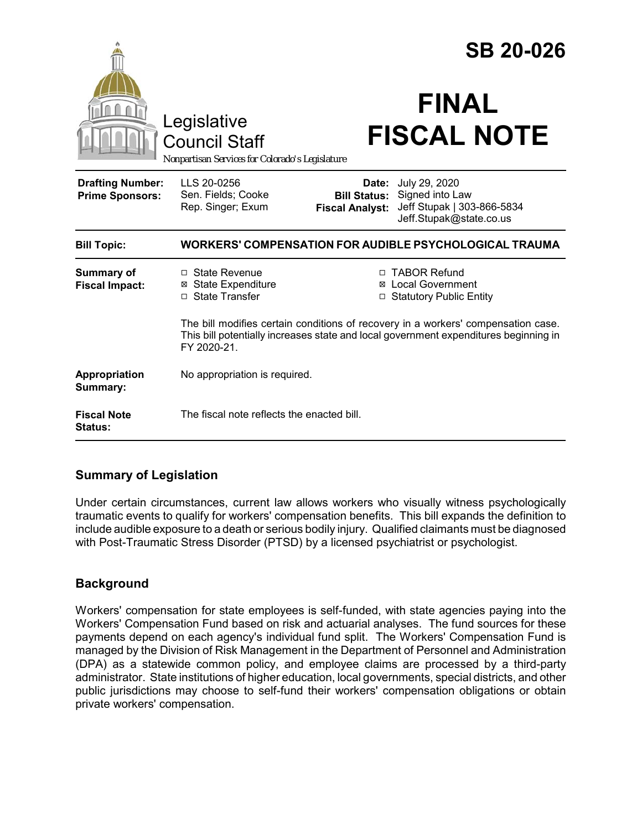|                                                   |                                                                                                                                                                                          |                                                        | <b>SB 20-026</b>                                                                          |
|---------------------------------------------------|------------------------------------------------------------------------------------------------------------------------------------------------------------------------------------------|--------------------------------------------------------|-------------------------------------------------------------------------------------------|
|                                                   | Legislative<br><b>Council Staff</b><br>Nonpartisan Services for Colorado's Legislature                                                                                                   |                                                        | <b>FINAL</b><br><b>FISCAL NOTE</b>                                                        |
| <b>Drafting Number:</b><br><b>Prime Sponsors:</b> | LLS 20-0256<br>Sen. Fields; Cooke<br>Rep. Singer; Exum                                                                                                                                   | Date:<br><b>Bill Status:</b><br><b>Fiscal Analyst:</b> | July 29, 2020<br>Signed into Law<br>Jeff Stupak   303-866-5834<br>Jeff.Stupak@state.co.us |
| <b>Bill Topic:</b>                                | WORKERS' COMPENSATION FOR AUDIBLE PSYCHOLOGICAL TRAUMA                                                                                                                                   |                                                        |                                                                                           |
| <b>Summary of</b><br><b>Fiscal Impact:</b>        | □ State Revenue<br><b>State Expenditure</b><br>□ State Transfer                                                                                                                          |                                                        | □ TABOR Refund<br><b>⊠</b> Local Government<br>□ Statutory Public Entity                  |
|                                                   | The bill modifies certain conditions of recovery in a workers' compensation case.<br>This bill potentially increases state and local government expenditures beginning in<br>FY 2020-21. |                                                        |                                                                                           |
| Appropriation<br>Summary:                         | No appropriation is required.                                                                                                                                                            |                                                        |                                                                                           |
| <b>Fiscal Note</b><br><b>Status:</b>              | The fiscal note reflects the enacted bill.                                                                                                                                               |                                                        |                                                                                           |

## **Summary of Legislation**

Under certain circumstances, current law allows workers who visually witness psychologically traumatic events to qualify for workers' compensation benefits. This bill expands the definition to include audible exposure to a death or serious bodily injury. Qualified claimants must be diagnosed with Post-Traumatic Stress Disorder (PTSD) by a licensed psychiatrist or psychologist.

# **Background**

Workers' compensation for state employees is self-funded, with state agencies paying into the Workers' Compensation Fund based on risk and actuarial analyses. The fund sources for these payments depend on each agency's individual fund split. The Workers' Compensation Fund is managed by the Division of Risk Management in the Department of Personnel and Administration (DPA) as a statewide common policy, and employee claims are processed by a third-party administrator. State institutions of higher education, local governments, special districts, and other public jurisdictions may choose to self-fund their workers' compensation obligations or obtain private workers' compensation.